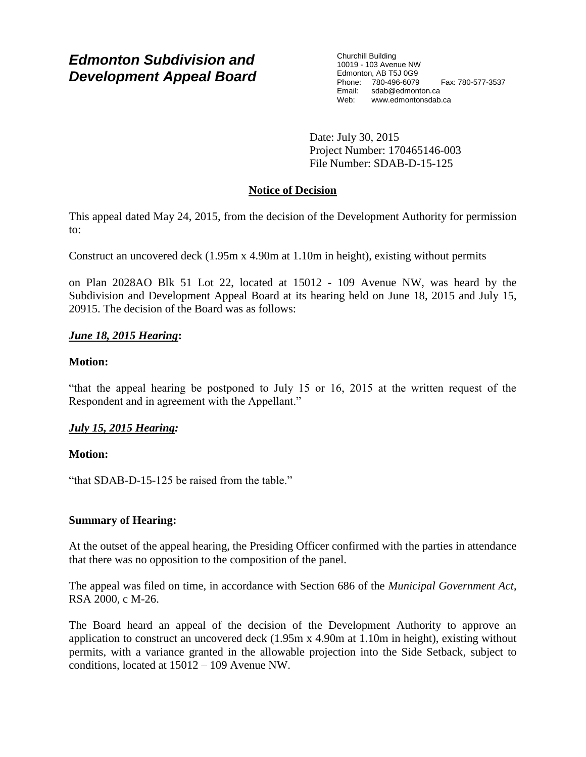# *Edmonton Subdivision and Development Appeal Board*

Churchill Building 10019 - 103 Avenue NW Edmonton, AB T5J 0G9 Phone: 780-496-6079 Fax: 780-577-3537 Email: sdab@edmonton.ca<br>Web: www.edmonton.ca Web: www.edmontonsdab.ca

Date: July 30, 2015 Project Number: 170465146-003 File Number: SDAB-D-15-125

## **Notice of Decision**

This appeal dated May 24, 2015, from the decision of the Development Authority for permission to:

Construct an uncovered deck (1.95m x 4.90m at 1.10m in height), existing without permits

on Plan 2028AO Blk 51 Lot 22, located at 15012 - 109 Avenue NW, was heard by the Subdivision and Development Appeal Board at its hearing held on June 18, 2015 and July 15, 20915. The decision of the Board was as follows:

## *June 18, 2015 Hearing***:**

## **Motion:**

"that the appeal hearing be postponed to July 15 or 16, 2015 at the written request of the Respondent and in agreement with the Appellant."

## *July 15, 2015 Hearing:*

## **Motion:**

"that SDAB-D-15-125 be raised from the table."

## **Summary of Hearing:**

At the outset of the appeal hearing, the Presiding Officer confirmed with the parties in attendance that there was no opposition to the composition of the panel.

The appeal was filed on time, in accordance with Section 686 of the *Municipal Government Act*, RSA 2000, c M-26.

The Board heard an appeal of the decision of the Development Authority to approve an application to construct an uncovered deck (1.95m x 4.90m at 1.10m in height), existing without permits, with a variance granted in the allowable projection into the Side Setback, subject to conditions, located at 15012 – 109 Avenue NW.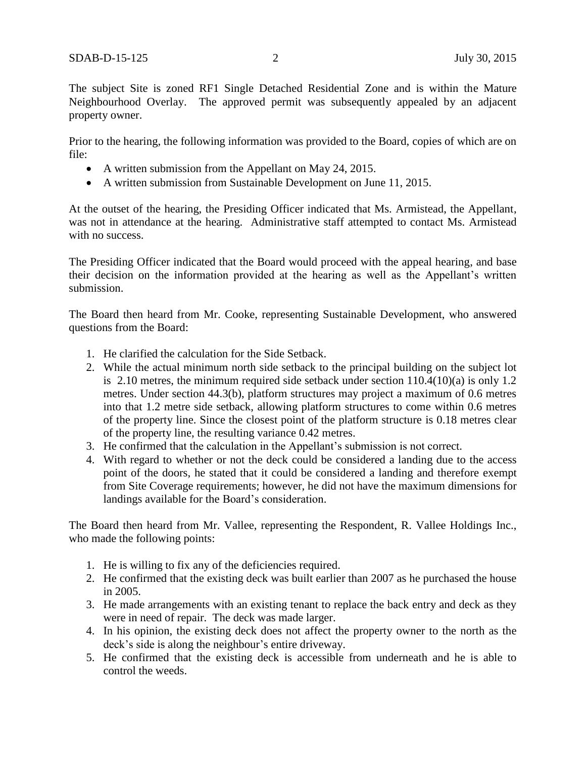The subject Site is zoned RF1 Single Detached Residential Zone and is within the Mature Neighbourhood Overlay. The approved permit was subsequently appealed by an adjacent property owner.

Prior to the hearing, the following information was provided to the Board, copies of which are on file:

- A written submission from the Appellant on May 24, 2015.
- A written submission from Sustainable Development on June 11, 2015.

At the outset of the hearing, the Presiding Officer indicated that Ms. Armistead, the Appellant, was not in attendance at the hearing. Administrative staff attempted to contact Ms. Armistead with no success.

The Presiding Officer indicated that the Board would proceed with the appeal hearing, and base their decision on the information provided at the hearing as well as the Appellant's written submission.

The Board then heard from Mr. Cooke, representing Sustainable Development, who answered questions from the Board:

- 1. He clarified the calculation for the Side Setback.
- 2. While the actual minimum north side setback to the principal building on the subject lot is 2.10 metres, the minimum required side setback under section 110.4(10)(a) is only 1.2 metres. Under section 44.3(b), platform structures may project a maximum of 0.6 metres into that 1.2 metre side setback, allowing platform structures to come within 0.6 metres of the property line. Since the closest point of the platform structure is 0.18 metres clear of the property line, the resulting variance 0.42 metres.
- 3. He confirmed that the calculation in the Appellant's submission is not correct.
- 4. With regard to whether or not the deck could be considered a landing due to the access point of the doors, he stated that it could be considered a landing and therefore exempt from Site Coverage requirements; however, he did not have the maximum dimensions for landings available for the Board's consideration.

The Board then heard from Mr. Vallee, representing the Respondent, R. Vallee Holdings Inc., who made the following points:

- 1. He is willing to fix any of the deficiencies required.
- 2. He confirmed that the existing deck was built earlier than 2007 as he purchased the house in 2005.
- 3. He made arrangements with an existing tenant to replace the back entry and deck as they were in need of repair. The deck was made larger.
- 4. In his opinion, the existing deck does not affect the property owner to the north as the deck's side is along the neighbour's entire driveway.
- 5. He confirmed that the existing deck is accessible from underneath and he is able to control the weeds.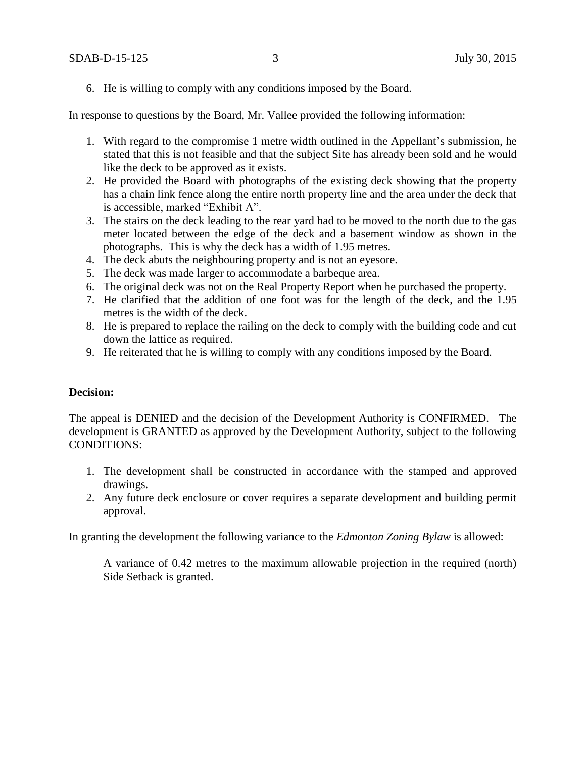6. He is willing to comply with any conditions imposed by the Board.

In response to questions by the Board, Mr. Vallee provided the following information:

- 1. With regard to the compromise 1 metre width outlined in the Appellant's submission, he stated that this is not feasible and that the subject Site has already been sold and he would like the deck to be approved as it exists.
- 2. He provided the Board with photographs of the existing deck showing that the property has a chain link fence along the entire north property line and the area under the deck that is accessible, marked "Exhibit A".
- 3. The stairs on the deck leading to the rear yard had to be moved to the north due to the gas meter located between the edge of the deck and a basement window as shown in the photographs. This is why the deck has a width of 1.95 metres.
- 4. The deck abuts the neighbouring property and is not an eyesore.
- 5. The deck was made larger to accommodate a barbeque area.
- 6. The original deck was not on the Real Property Report when he purchased the property.
- 7. He clarified that the addition of one foot was for the length of the deck, and the 1.95 metres is the width of the deck.
- 8. He is prepared to replace the railing on the deck to comply with the building code and cut down the lattice as required.
- 9. He reiterated that he is willing to comply with any conditions imposed by the Board.

#### **Decision:**

The appeal is DENIED and the decision of the Development Authority is CONFIRMED. The development is GRANTED as approved by the Development Authority, subject to the following CONDITIONS:

- 1. The development shall be constructed in accordance with the stamped and approved drawings.
- 2. Any future deck enclosure or cover requires a separate development and building permit approval.

In granting the development the following variance to the *Edmonton Zoning Bylaw* is allowed:

A variance of 0.42 metres to the maximum allowable projection in the required (north) Side Setback is granted.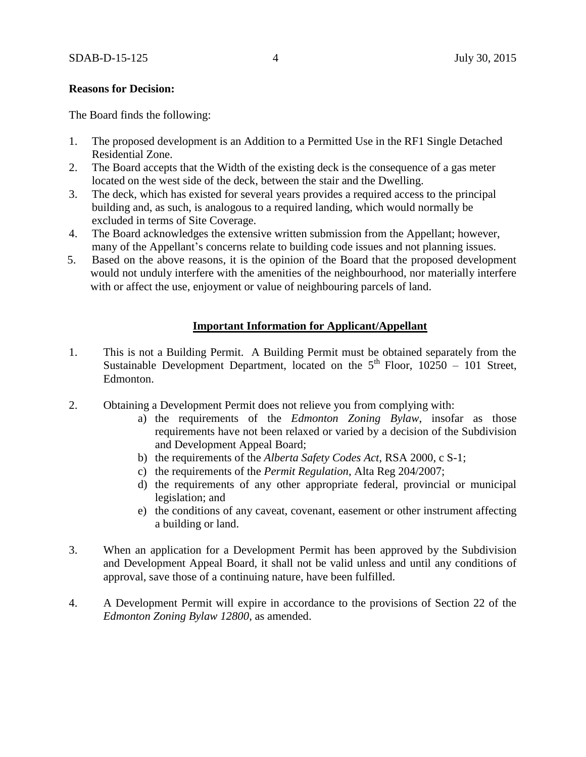#### **Reasons for Decision:**

The Board finds the following:

- 1. The proposed development is an Addition to a Permitted Use in the RF1 Single Detached Residential Zone.
- 2. The Board accepts that the Width of the existing deck is the consequence of a gas meter located on the west side of the deck, between the stair and the Dwelling.
- 3. The deck, which has existed for several years provides a required access to the principal building and, as such, is analogous to a required landing, which would normally be excluded in terms of Site Coverage.
- 4. The Board acknowledges the extensive written submission from the Appellant; however, many of the Appellant's concerns relate to building code issues and not planning issues.
- 5. Based on the above reasons, it is the opinion of the Board that the proposed development would not unduly interfere with the amenities of the neighbourhood, nor materially interfere with or affect the use, enjoyment or value of neighbouring parcels of land.

#### **Important Information for Applicant/Appellant**

- 1. This is not a Building Permit. A Building Permit must be obtained separately from the Sustainable Development Department, located on the  $5<sup>th</sup>$  Floor, 10250 – 101 Street, Edmonton.
- 2. Obtaining a Development Permit does not relieve you from complying with:
	- a) the requirements of the *Edmonton Zoning Bylaw*, insofar as those requirements have not been relaxed or varied by a decision of the Subdivision and Development Appeal Board;
	- b) the requirements of the *Alberta Safety Codes Act*, RSA 2000, c S-1;
	- c) the requirements of the *Permit Regulation*, Alta Reg 204/2007;
	- d) the requirements of any other appropriate federal, provincial or municipal legislation; and
	- e) the conditions of any caveat, covenant, easement or other instrument affecting a building or land.
- 3. When an application for a Development Permit has been approved by the Subdivision and Development Appeal Board, it shall not be valid unless and until any conditions of approval, save those of a continuing nature, have been fulfilled.
- 4. A Development Permit will expire in accordance to the provisions of Section 22 of the *Edmonton Zoning Bylaw 12800*, as amended.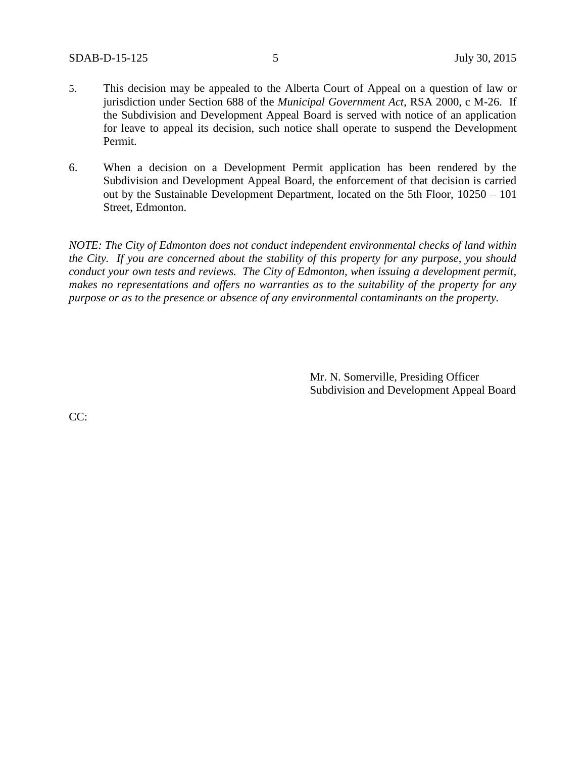- 5. This decision may be appealed to the Alberta Court of Appeal on a question of law or jurisdiction under Section 688 of the *Municipal Government Act*, RSA 2000, c M-26. If the Subdivision and Development Appeal Board is served with notice of an application for leave to appeal its decision, such notice shall operate to suspend the Development Permit.
- 6. When a decision on a Development Permit application has been rendered by the Subdivision and Development Appeal Board, the enforcement of that decision is carried out by the Sustainable Development Department, located on the 5th Floor, 10250 – 101 Street, Edmonton.

*NOTE: The City of Edmonton does not conduct independent environmental checks of land within the City. If you are concerned about the stability of this property for any purpose, you should conduct your own tests and reviews. The City of Edmonton, when issuing a development permit, makes no representations and offers no warranties as to the suitability of the property for any purpose or as to the presence or absence of any environmental contaminants on the property.*

> Mr. N. Somerville, Presiding Officer Subdivision and Development Appeal Board

CC: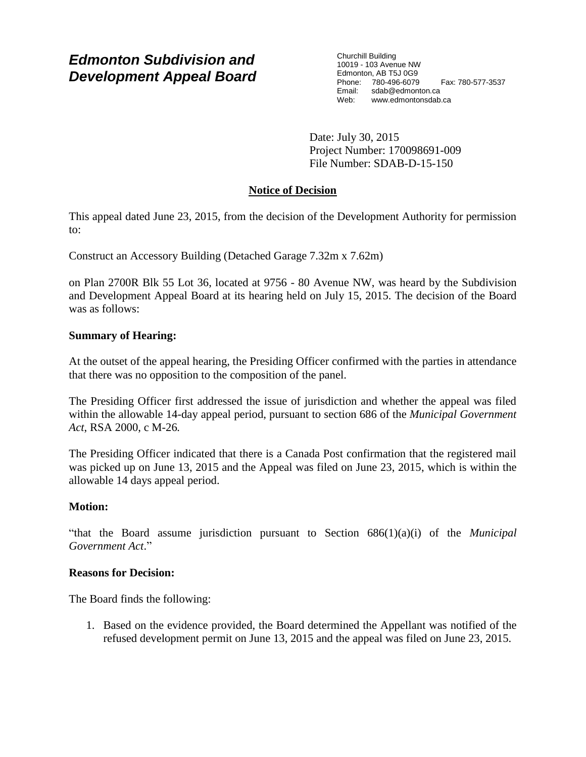# *Edmonton Subdivision and Development Appeal Board*

Churchill Building 10019 - 103 Avenue NW Edmonton, AB T5J 0G9 Phone: 780-496-6079 Fax: 780-577-3537 Email: sdab@edmonton.ca Web: www.edmontonsdab.ca

Date: July 30, 2015 Project Number: 170098691-009 File Number: SDAB-D-15-150

## **Notice of Decision**

This appeal dated June 23, 2015, from the decision of the Development Authority for permission to:

Construct an Accessory Building (Detached Garage 7.32m x 7.62m)

on Plan 2700R Blk 55 Lot 36, located at 9756 - 80 Avenue NW, was heard by the Subdivision and Development Appeal Board at its hearing held on July 15, 2015. The decision of the Board was as follows:

## **Summary of Hearing:**

At the outset of the appeal hearing, the Presiding Officer confirmed with the parties in attendance that there was no opposition to the composition of the panel.

The Presiding Officer first addressed the issue of jurisdiction and whether the appeal was filed within the allowable 14-day appeal period, pursuant to section 686 of the *Municipal Government Act*, RSA 2000, c M-26*.*

The Presiding Officer indicated that there is a Canada Post confirmation that the registered mail was picked up on June 13, 2015 and the Appeal was filed on June 23, 2015, which is within the allowable 14 days appeal period.

## **Motion:**

"that the Board assume jurisdiction pursuant to Section 686(1)(a)(i) of the *Municipal Government Act*."

## **Reasons for Decision:**

The Board finds the following:

1. Based on the evidence provided, the Board determined the Appellant was notified of the refused development permit on June 13, 2015 and the appeal was filed on June 23, 2015.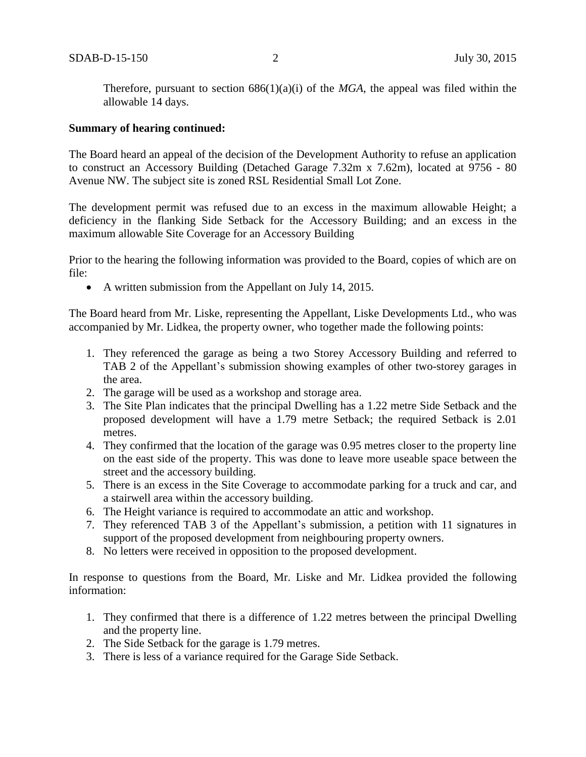Therefore, pursuant to section  $686(1)(a)(i)$  of the *MGA*, the appeal was filed within the allowable 14 days.

#### **Summary of hearing continued:**

The Board heard an appeal of the decision of the Development Authority to refuse an application to construct an Accessory Building (Detached Garage 7.32m x 7.62m), located at 9756 - 80 Avenue NW. The subject site is zoned RSL Residential Small Lot Zone.

The development permit was refused due to an excess in the maximum allowable Height; a deficiency in the flanking Side Setback for the Accessory Building; and an excess in the maximum allowable Site Coverage for an Accessory Building

Prior to the hearing the following information was provided to the Board, copies of which are on file:

• A written submission from the Appellant on July 14, 2015.

The Board heard from Mr. Liske, representing the Appellant, Liske Developments Ltd., who was accompanied by Mr. Lidkea, the property owner, who together made the following points:

- 1. They referenced the garage as being a two Storey Accessory Building and referred to TAB 2 of the Appellant's submission showing examples of other two-storey garages in the area.
- 2. The garage will be used as a workshop and storage area.
- 3. The Site Plan indicates that the principal Dwelling has a 1.22 metre Side Setback and the proposed development will have a 1.79 metre Setback; the required Setback is 2.01 metres.
- 4. They confirmed that the location of the garage was 0.95 metres closer to the property line on the east side of the property. This was done to leave more useable space between the street and the accessory building.
- 5. There is an excess in the Site Coverage to accommodate parking for a truck and car, and a stairwell area within the accessory building.
- 6. The Height variance is required to accommodate an attic and workshop.
- 7. They referenced TAB 3 of the Appellant's submission, a petition with 11 signatures in support of the proposed development from neighbouring property owners.
- 8. No letters were received in opposition to the proposed development.

In response to questions from the Board, Mr. Liske and Mr. Lidkea provided the following information:

- 1. They confirmed that there is a difference of 1.22 metres between the principal Dwelling and the property line.
- 2. The Side Setback for the garage is 1.79 metres.
- 3. There is less of a variance required for the Garage Side Setback.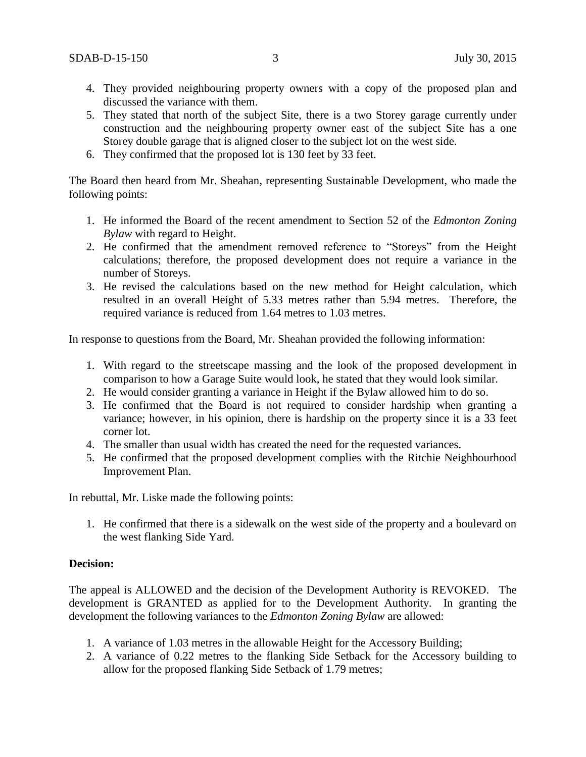- 4. They provided neighbouring property owners with a copy of the proposed plan and discussed the variance with them.
- 5. They stated that north of the subject Site, there is a two Storey garage currently under construction and the neighbouring property owner east of the subject Site has a one Storey double garage that is aligned closer to the subject lot on the west side.
- 6. They confirmed that the proposed lot is 130 feet by 33 feet.

The Board then heard from Mr. Sheahan, representing Sustainable Development, who made the following points:

- 1. He informed the Board of the recent amendment to Section 52 of the *Edmonton Zoning Bylaw* with regard to Height.
- 2. He confirmed that the amendment removed reference to "Storeys" from the Height calculations; therefore, the proposed development does not require a variance in the number of Storeys.
- 3. He revised the calculations based on the new method for Height calculation, which resulted in an overall Height of 5.33 metres rather than 5.94 metres. Therefore, the required variance is reduced from 1.64 metres to 1.03 metres.

In response to questions from the Board, Mr. Sheahan provided the following information:

- 1. With regard to the streetscape massing and the look of the proposed development in comparison to how a Garage Suite would look, he stated that they would look similar.
- 2. He would consider granting a variance in Height if the Bylaw allowed him to do so.
- 3. He confirmed that the Board is not required to consider hardship when granting a variance; however, in his opinion, there is hardship on the property since it is a 33 feet corner lot.
- 4. The smaller than usual width has created the need for the requested variances.
- 5. He confirmed that the proposed development complies with the Ritchie Neighbourhood Improvement Plan.

In rebuttal, Mr. Liske made the following points:

1. He confirmed that there is a sidewalk on the west side of the property and a boulevard on the west flanking Side Yard.

#### **Decision:**

The appeal is ALLOWED and the decision of the Development Authority is REVOKED. The development is GRANTED as applied for to the Development Authority. In granting the development the following variances to the *Edmonton Zoning Bylaw* are allowed:

- 1. A variance of 1.03 metres in the allowable Height for the Accessory Building;
- 2. A variance of 0.22 metres to the flanking Side Setback for the Accessory building to allow for the proposed flanking Side Setback of 1.79 metres;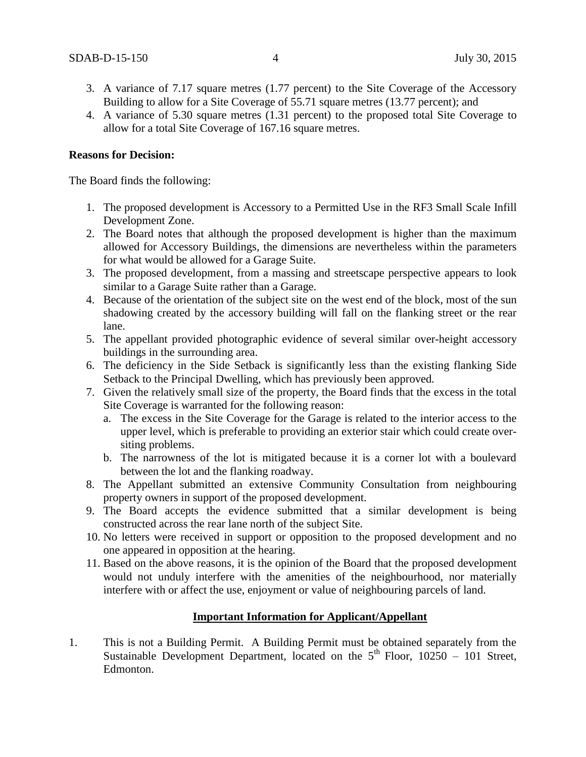- 3. A variance of 7.17 square metres (1.77 percent) to the Site Coverage of the Accessory Building to allow for a Site Coverage of 55.71 square metres (13.77 percent); and
- 4. A variance of 5.30 square metres (1.31 percent) to the proposed total Site Coverage to allow for a total Site Coverage of 167.16 square metres.

#### **Reasons for Decision:**

The Board finds the following:

- 1. The proposed development is Accessory to a Permitted Use in the RF3 Small Scale Infill Development Zone.
- 2. The Board notes that although the proposed development is higher than the maximum allowed for Accessory Buildings, the dimensions are nevertheless within the parameters for what would be allowed for a Garage Suite.
- 3. The proposed development, from a massing and streetscape perspective appears to look similar to a Garage Suite rather than a Garage.
- 4. Because of the orientation of the subject site on the west end of the block, most of the sun shadowing created by the accessory building will fall on the flanking street or the rear lane.
- 5. The appellant provided photographic evidence of several similar over-height accessory buildings in the surrounding area.
- 6. The deficiency in the Side Setback is significantly less than the existing flanking Side Setback to the Principal Dwelling, which has previously been approved*.*
- 7. Given the relatively small size of the property, the Board finds that the excess in the total Site Coverage is warranted for the following reason:
	- a. The excess in the Site Coverage for the Garage is related to the interior access to the upper level, which is preferable to providing an exterior stair which could create oversiting problems.
	- b. The narrowness of the lot is mitigated because it is a corner lot with a boulevard between the lot and the flanking roadway.
- 8. The Appellant submitted an extensive Community Consultation from neighbouring property owners in support of the proposed development.
- 9. The Board accepts the evidence submitted that a similar development is being constructed across the rear lane north of the subject Site.
- 10. No letters were received in support or opposition to the proposed development and no one appeared in opposition at the hearing.
- 11. Based on the above reasons, it is the opinion of the Board that the proposed development would not unduly interfere with the amenities of the neighbourhood, nor materially interfere with or affect the use, enjoyment or value of neighbouring parcels of land.

#### **Important Information for Applicant/Appellant**

1. This is not a Building Permit. A Building Permit must be obtained separately from the Sustainable Development Department, located on the  $5<sup>th</sup>$  Floor,  $10250 - 101$  Street, Edmonton.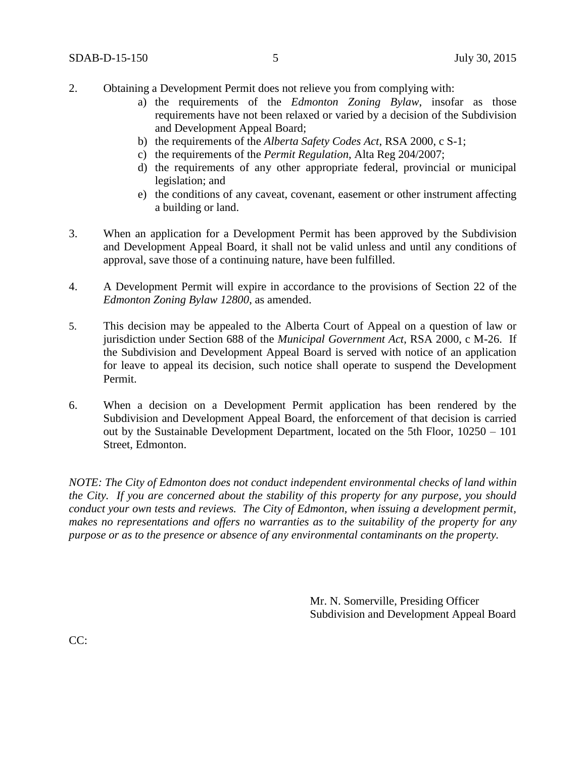- 2. Obtaining a Development Permit does not relieve you from complying with:
	- a) the requirements of the *Edmonton Zoning Bylaw*, insofar as those requirements have not been relaxed or varied by a decision of the Subdivision and Development Appeal Board;
	- b) the requirements of the *Alberta Safety Codes Act*, RSA 2000, c S-1;
	- c) the requirements of the *Permit Regulation*, Alta Reg 204/2007;
	- d) the requirements of any other appropriate federal, provincial or municipal legislation; and
	- e) the conditions of any caveat, covenant, easement or other instrument affecting a building or land.
- 3. When an application for a Development Permit has been approved by the Subdivision and Development Appeal Board, it shall not be valid unless and until any conditions of approval, save those of a continuing nature, have been fulfilled.
- 4. A Development Permit will expire in accordance to the provisions of Section 22 of the *Edmonton Zoning Bylaw 12800*, as amended.
- 5. This decision may be appealed to the Alberta Court of Appeal on a question of law or jurisdiction under Section 688 of the *Municipal Government Act*, RSA 2000, c M-26. If the Subdivision and Development Appeal Board is served with notice of an application for leave to appeal its decision, such notice shall operate to suspend the Development Permit.
- 6. When a decision on a Development Permit application has been rendered by the Subdivision and Development Appeal Board, the enforcement of that decision is carried out by the Sustainable Development Department, located on the 5th Floor, 10250 – 101 Street, Edmonton.

*NOTE: The City of Edmonton does not conduct independent environmental checks of land within the City. If you are concerned about the stability of this property for any purpose, you should conduct your own tests and reviews. The City of Edmonton, when issuing a development permit, makes no representations and offers no warranties as to the suitability of the property for any purpose or as to the presence or absence of any environmental contaminants on the property.*

> Mr. N. Somerville, Presiding Officer Subdivision and Development Appeal Board

CC: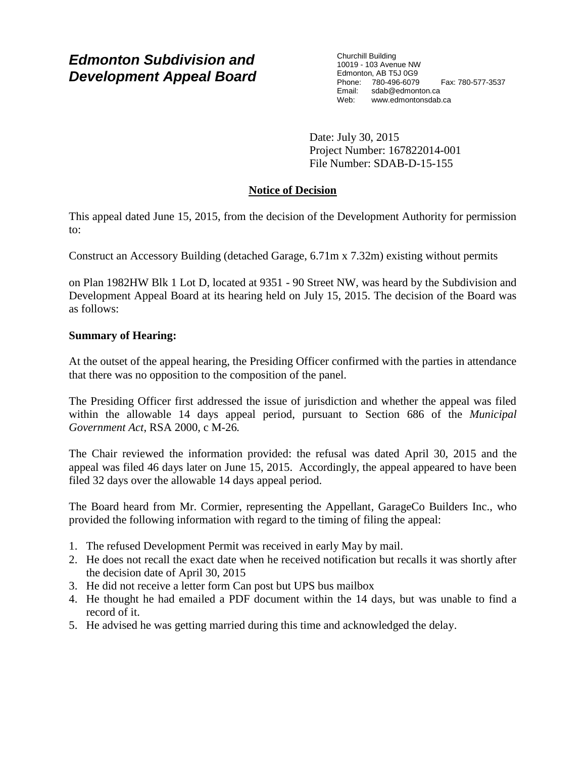# *Edmonton Subdivision and Development Appeal Board*

Churchill Building 10019 - 103 Avenue NW Edmonton, AB T5J 0G9 Phone: 780-496-6079 Fax: 780-577-3537 Email: sdab@edmonton.ca<br>Web: www.edmonton.ca Web: www.edmontonsdab.ca

Date: July 30, 2015 Project Number: 167822014-001 File Number: SDAB-D-15-155

## **Notice of Decision**

This appeal dated June 15, 2015, from the decision of the Development Authority for permission to:

Construct an Accessory Building (detached Garage, 6.71m x 7.32m) existing without permits

on Plan 1982HW Blk 1 Lot D, located at 9351 - 90 Street NW, was heard by the Subdivision and Development Appeal Board at its hearing held on July 15, 2015. The decision of the Board was as follows:

## **Summary of Hearing:**

At the outset of the appeal hearing, the Presiding Officer confirmed with the parties in attendance that there was no opposition to the composition of the panel.

The Presiding Officer first addressed the issue of jurisdiction and whether the appeal was filed within the allowable 14 days appeal period, pursuant to Section 686 of the *Municipal Government Act*, RSA 2000, c M-26*.*

The Chair reviewed the information provided: the refusal was dated April 30, 2015 and the appeal was filed 46 days later on June 15, 2015. Accordingly, the appeal appeared to have been filed 32 days over the allowable 14 days appeal period.

The Board heard from Mr. Cormier, representing the Appellant, GarageCo Builders Inc., who provided the following information with regard to the timing of filing the appeal:

- 1. The refused Development Permit was received in early May by mail.
- 2. He does not recall the exact date when he received notification but recalls it was shortly after the decision date of April 30, 2015
- 3. He did not receive a letter form Can post but UPS bus mailbox
- 4. He thought he had emailed a PDF document within the 14 days, but was unable to find a record of it.
- 5. He advised he was getting married during this time and acknowledged the delay.